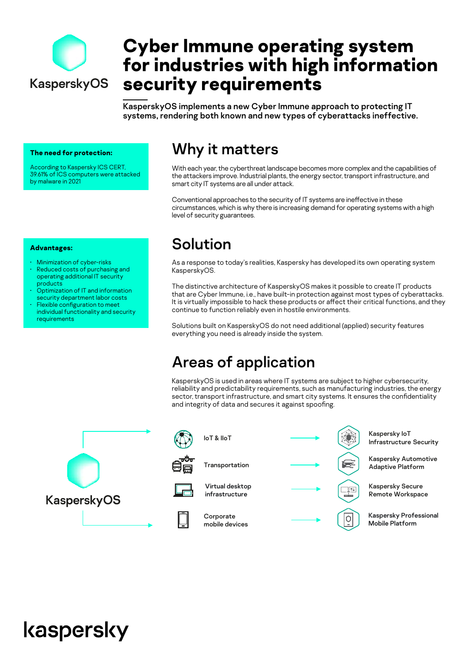

# **Cyber Immune operating system for industries with high information security requirements**

KasperskyOS implements a new Cyber Immune approach to protecting IT systems, rendering both known and new types of cyberattacks ineffective.

**The need for protection:**

• Minimization of cyber-risks • Reduced costs of purchasing and operating additional IT security

• Optimization of IT and information security department labor costs Flexible configuration to meet individual functionality and security

**Advantages:**

products

requirements

According to Kaspersky ICS CERT, 39.61% of ICS computers were attacked by malware in 2021

### Why it matters

With each year, the cyberthreat landscape becomes more complex and the capabilities of the attackers improve. Industrial plants, the energy sector, transport infrastructure, and smart city IT systems are all under attack.

Conventional approaches to the security of IT systems are ineffective in these circumstances, which is why there is increasing demand for operating systems with a high level of security guarantees.

# Solution

As a response to today's realities, Kaspersky has developed its own operating system KasperskyOS.

The distinctive architecture of KasperskyOS makes it possible to create IT products that are Cyber Immune, i.e., have built-in protection against most types of cyberattacks. It is virtually impossible to hack these products or affect their critical functions, and they continue to function reliably even in hostile environments.

Solutions built on KasperskyOS do not need additional (applied) security features everything you need is already inside the system.

# Areas of application

KasperskyOS is used in areas where IT systems are subject to higher cybersecurity, reliability and predictability requirements, such as manufacturing industries, the energy sector, transport infrastructure, and smart city systems. It ensures the confidentiality and integrity of data and secures it against spoofing.





# kaspersky